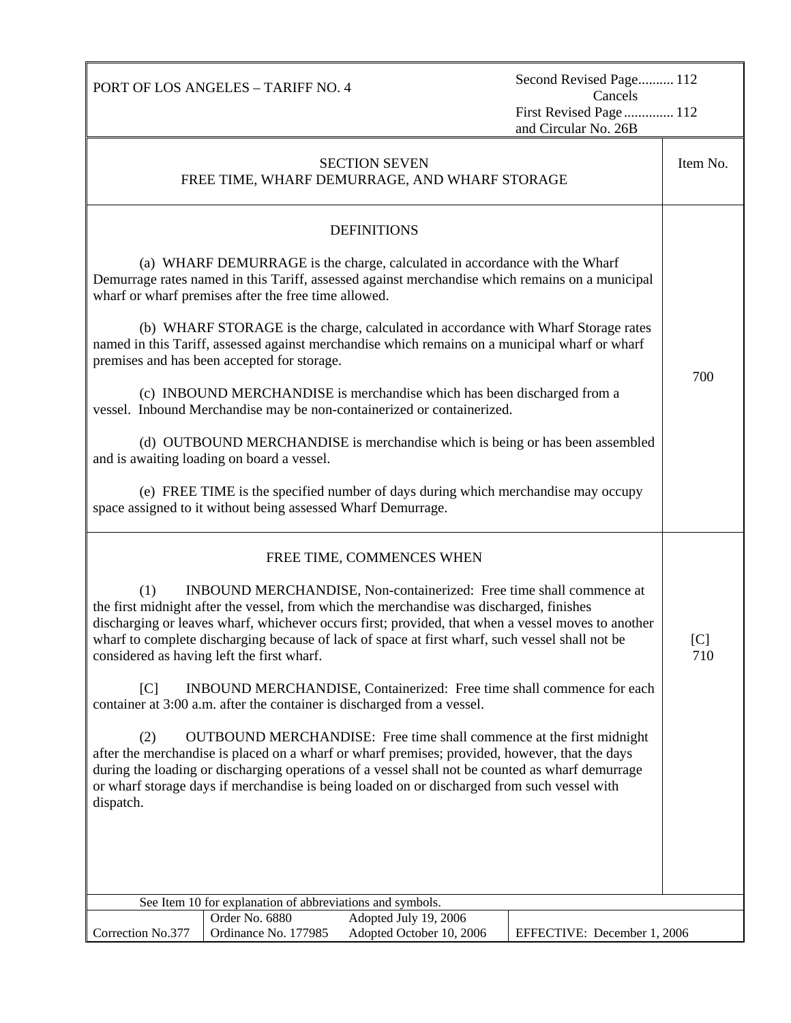PORT OF LOS ANGELES – TARIFF NO. 4

Second Revised Page.......... 112<br>Cancels First Revised Page.............. 112 and Circular No. 26B

| <b>SECTION SEVEN</b><br>FREE TIME, WHARF DEMURRAGE, AND WHARF STORAGE                                                                                                                                                                                                                                                                                                                                                         |            |  |  |  |
|-------------------------------------------------------------------------------------------------------------------------------------------------------------------------------------------------------------------------------------------------------------------------------------------------------------------------------------------------------------------------------------------------------------------------------|------------|--|--|--|
| <b>DEFINITIONS</b>                                                                                                                                                                                                                                                                                                                                                                                                            |            |  |  |  |
| (a) WHARF DEMURRAGE is the charge, calculated in accordance with the Wharf<br>Demurrage rates named in this Tariff, assessed against merchandise which remains on a municipal<br>wharf or wharf premises after the free time allowed.                                                                                                                                                                                         |            |  |  |  |
| (b) WHARF STORAGE is the charge, calculated in accordance with Wharf Storage rates<br>named in this Tariff, assessed against merchandise which remains on a municipal wharf or wharf<br>premises and has been accepted for storage.                                                                                                                                                                                           | 700        |  |  |  |
| (c) INBOUND MERCHANDISE is merchandise which has been discharged from a<br>vessel. Inbound Merchandise may be non-containerized or containerized.                                                                                                                                                                                                                                                                             |            |  |  |  |
| (d) OUTBOUND MERCHANDISE is merchandise which is being or has been assembled<br>and is awaiting loading on board a vessel.                                                                                                                                                                                                                                                                                                    |            |  |  |  |
| (e) FREE TIME is the specified number of days during which merchandise may occupy<br>space assigned to it without being assessed Wharf Demurrage.                                                                                                                                                                                                                                                                             |            |  |  |  |
| FREE TIME, COMMENCES WHEN                                                                                                                                                                                                                                                                                                                                                                                                     |            |  |  |  |
| INBOUND MERCHANDISE, Non-containerized: Free time shall commence at<br>(1)<br>the first midnight after the vessel, from which the merchandise was discharged, finishes<br>discharging or leaves wharf, whichever occurs first; provided, that when a vessel moves to another<br>wharf to complete discharging because of lack of space at first wharf, such vessel shall not be<br>considered as having left the first wharf. | [C]<br>710 |  |  |  |
| $\lceil C \rceil$<br>INBOUND MERCHANDISE, Containerized: Free time shall commence for each<br>container at 3:00 a.m. after the container is discharged from a vessel.                                                                                                                                                                                                                                                         |            |  |  |  |
| (2)<br>OUTBOUND MERCHANDISE: Free time shall commence at the first midnight<br>after the merchandise is placed on a wharf or wharf premises; provided, however, that the days<br>during the loading or discharging operations of a vessel shall not be counted as wharf demurrage<br>or wharf storage days if merchandise is being loaded on or discharged from such vessel with<br>dispatch.                                 |            |  |  |  |
|                                                                                                                                                                                                                                                                                                                                                                                                                               |            |  |  |  |
| See Item 10 for explanation of abbreviations and symbols.                                                                                                                                                                                                                                                                                                                                                                     |            |  |  |  |
| Order No. 6880<br>Adopted July 19, 2006<br>Ordinance No. 177985<br>Adopted October 10, 2006<br>Correction No.377<br>EFFECTIVE: December 1, 2006                                                                                                                                                                                                                                                                               |            |  |  |  |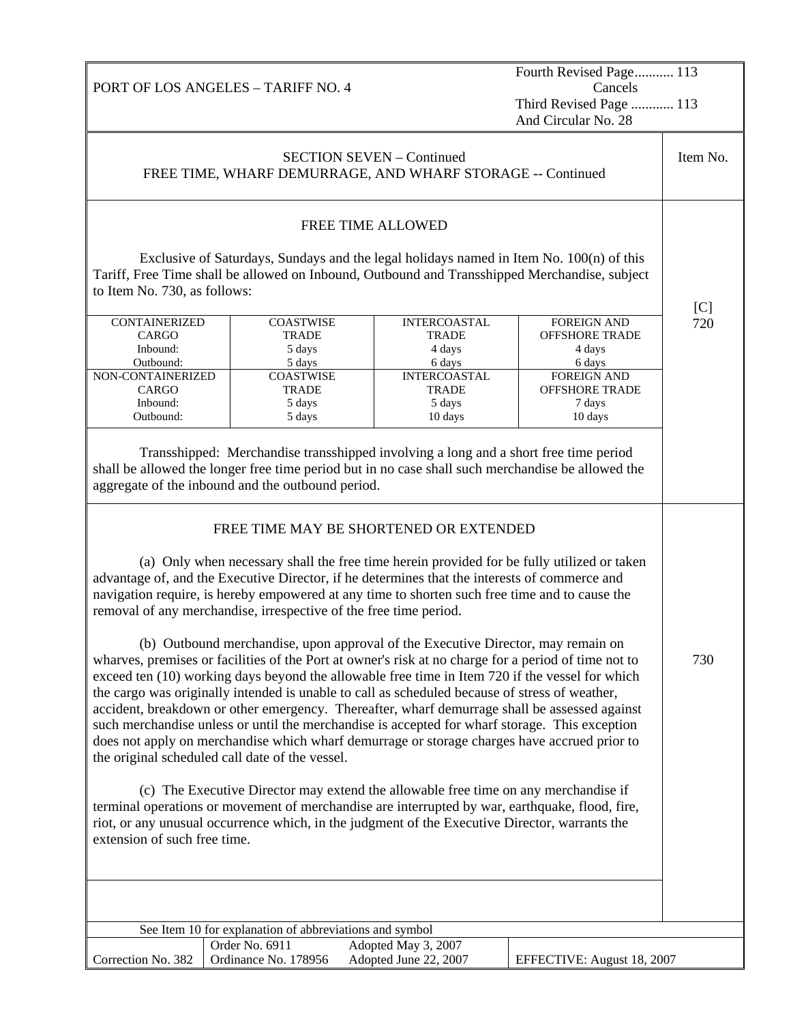PORT OF LOS ANGELES – TARIFF NO. 4 Fourth Revised Page........... 113 Cancels Third Revised Page ............ 113 And Circular No. 28 SECTION SEVEN – Continued FREE TIME, WHARF DEMURRAGE, AND WHARF STORAGE -- Continued Item No. FREE TIME ALLOWED Exclusive of Saturdays, Sundays and the legal holidays named in Item No. 100(n) of this Tariff, Free Time shall be allowed on Inbound, Outbound and Transshipped Merchandise, subject to Item No. 730, as follows: **CONTAINERIZED** CARGO Inbound: Outbound: **COASTWISE** TRADE 5 days 5 days INTERCOASTAL TRADE 4 days 6 days FOREIGN AND OFFSHORE TRADE 4 days 6 days NON-CONTAINERIZED CARGO Inbound: Outbound: **COASTWISE TRADE** 5 days 5 days INTERCOASTAL **TRADE** 5 days 10 days FOREIGN AND OFFSHORE TRADE 7 days 10 days Transshipped: Merchandise transshipped involving a long and a short free time period shall be allowed the longer free time period but in no case shall such merchandise be allowed the aggregate of the inbound and the outbound period.  $[C]$ 720 FREE TIME MAY BE SHORTENED OR EXTENDED (a) Only when necessary shall the free time herein provided for be fully utilized or taken advantage of, and the Executive Director, if he determines that the interests of commerce and navigation require, is hereby empowered at any time to shorten such free time and to cause the removal of any merchandise, irrespective of the free time period. (b) Outbound merchandise, upon approval of the Executive Director, may remain on wharves, premises or facilities of the Port at owner's risk at no charge for a period of time not to exceed ten (10) working days beyond the allowable free time in Item 720 if the vessel for which the cargo was originally intended is unable to call as scheduled because of stress of weather, accident, breakdown or other emergency. Thereafter, wharf demurrage shall be assessed against such merchandise unless or until the merchandise is accepted for wharf storage. This exception does not apply on merchandise which wharf demurrage or storage charges have accrued prior to the original scheduled call date of the vessel. (c) The Executive Director may extend the allowable free time on any merchandise if terminal operations or movement of merchandise are interrupted by war, earthquake, flood, fire, riot, or any unusual occurrence which, in the judgment of the Executive Director, warrants the extension of such free time. 730 See Item 10 for explanation of abbreviations and symbol Correction No. 382 Order No. 6911 Adopted May 3, 2007 Ordinance No. 178956 Adopted June 22, 2007 EFFECTIVE: August 18, 2007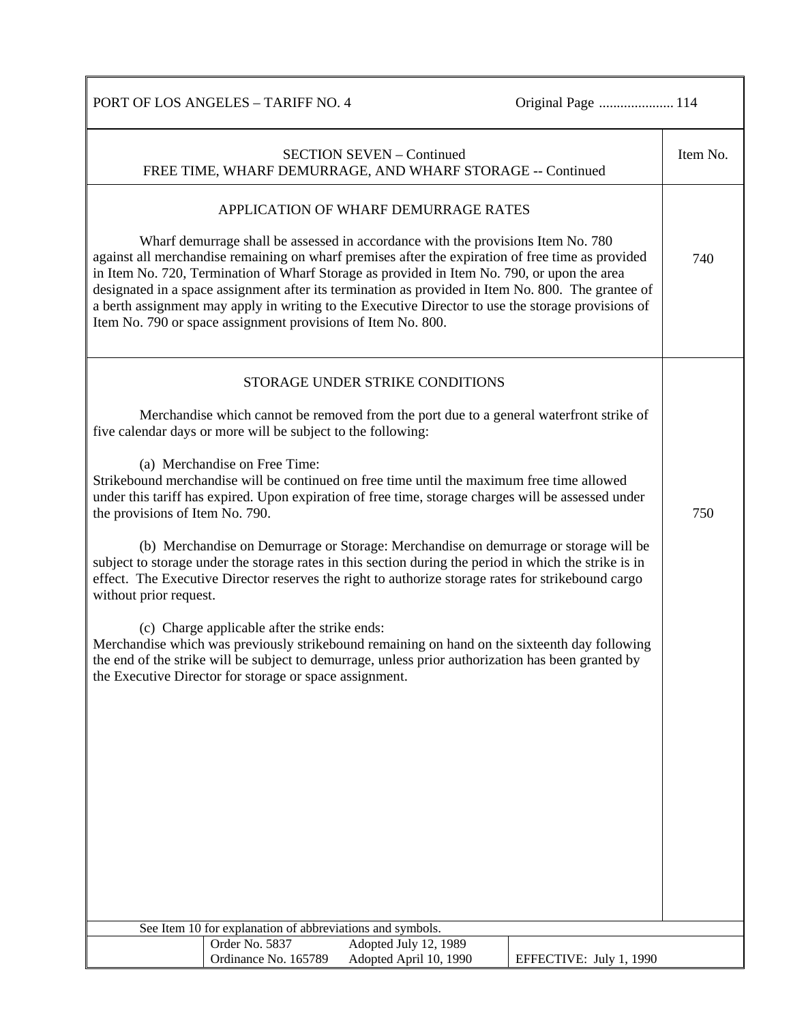PORT OF LOS ANGELES – TARIFF NO. 4 Original Page ................................ 114

| <b>SECTION SEVEN - Continued</b><br>FREE TIME, WHARF DEMURRAGE, AND WHARF STORAGE -- Continued                                                                                                                                                                                                                                                                                                                                                                                                                                                                                                          | Item No. |  |
|---------------------------------------------------------------------------------------------------------------------------------------------------------------------------------------------------------------------------------------------------------------------------------------------------------------------------------------------------------------------------------------------------------------------------------------------------------------------------------------------------------------------------------------------------------------------------------------------------------|----------|--|
| APPLICATION OF WHARF DEMURRAGE RATES                                                                                                                                                                                                                                                                                                                                                                                                                                                                                                                                                                    |          |  |
| Wharf demurrage shall be assessed in accordance with the provisions Item No. 780<br>against all merchandise remaining on wharf premises after the expiration of free time as provided<br>in Item No. 720, Termination of Wharf Storage as provided in Item No. 790, or upon the area<br>designated in a space assignment after its termination as provided in Item No. 800. The grantee of<br>a berth assignment may apply in writing to the Executive Director to use the storage provisions of<br>Item No. 790 or space assignment provisions of Item No. 800.                                        | 740      |  |
| STORAGE UNDER STRIKE CONDITIONS                                                                                                                                                                                                                                                                                                                                                                                                                                                                                                                                                                         |          |  |
| Merchandise which cannot be removed from the port due to a general waterfront strike of<br>five calendar days or more will be subject to the following:                                                                                                                                                                                                                                                                                                                                                                                                                                                 |          |  |
| (a) Merchandise on Free Time:<br>Strikebound merchandise will be continued on free time until the maximum free time allowed<br>under this tariff has expired. Upon expiration of free time, storage charges will be assessed under<br>the provisions of Item No. 790.<br>(b) Merchandise on Demurrage or Storage: Merchandise on demurrage or storage will be<br>subject to storage under the storage rates in this section during the period in which the strike is in<br>effect. The Executive Director reserves the right to authorize storage rates for strikebound cargo<br>without prior request. |          |  |
| (c) Charge applicable after the strike ends:<br>Merchandise which was previously strikebound remaining on hand on the sixteenth day following<br>the end of the strike will be subject to demurrage, unless prior authorization has been granted by<br>the Executive Director for storage or space assignment.                                                                                                                                                                                                                                                                                          |          |  |
|                                                                                                                                                                                                                                                                                                                                                                                                                                                                                                                                                                                                         |          |  |
|                                                                                                                                                                                                                                                                                                                                                                                                                                                                                                                                                                                                         |          |  |
|                                                                                                                                                                                                                                                                                                                                                                                                                                                                                                                                                                                                         |          |  |
|                                                                                                                                                                                                                                                                                                                                                                                                                                                                                                                                                                                                         |          |  |
|                                                                                                                                                                                                                                                                                                                                                                                                                                                                                                                                                                                                         |          |  |
| See Item 10 for explanation of abbreviations and symbols.                                                                                                                                                                                                                                                                                                                                                                                                                                                                                                                                               |          |  |
| Order No. 5837<br>Adopted July 12, 1989                                                                                                                                                                                                                                                                                                                                                                                                                                                                                                                                                                 |          |  |
| Ordinance No. 165789<br>Adopted April 10, 1990<br>EFFECTIVE: July 1, 1990                                                                                                                                                                                                                                                                                                                                                                                                                                                                                                                               |          |  |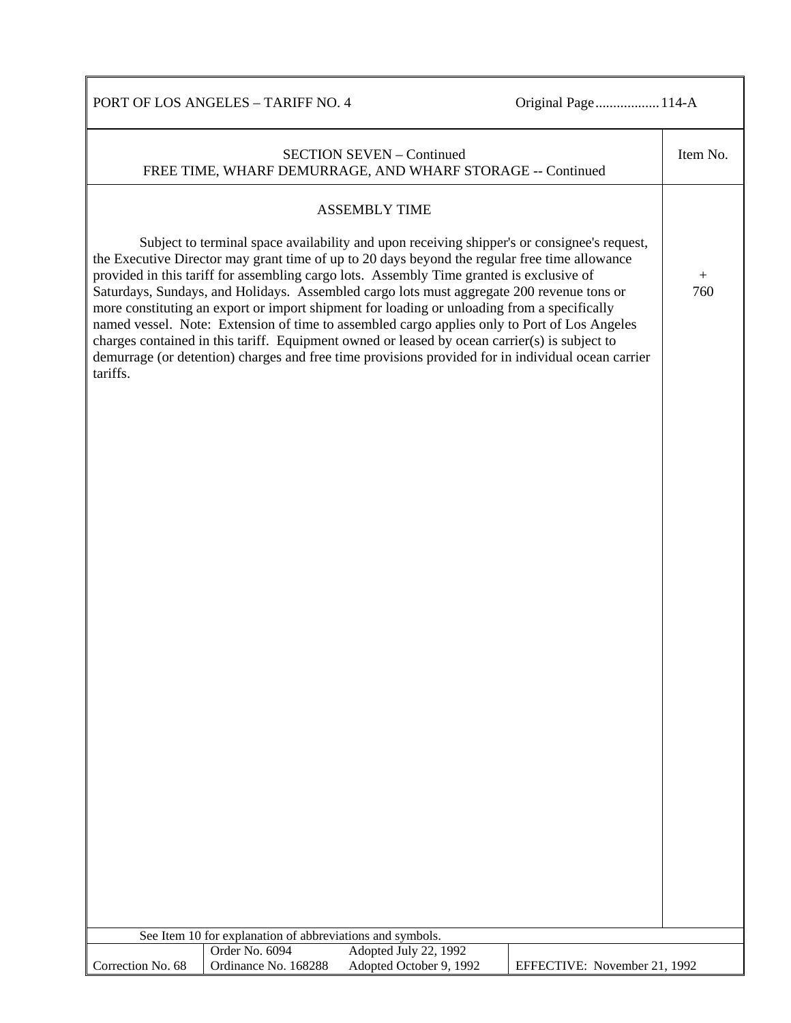PORT OF LOS ANGELES – TARIFF NO. 4 Original Page................... 114-A

|                   |                                                           | <b>SECTION SEVEN - Continued</b><br>FREE TIME, WHARF DEMURRAGE, AND WHARF STORAGE -- Continued                                                                                                                                                                                                                                                                                                                                                                                                                                                                                                                                                                                                                                                                                              |                              | Item No.      |
|-------------------|-----------------------------------------------------------|---------------------------------------------------------------------------------------------------------------------------------------------------------------------------------------------------------------------------------------------------------------------------------------------------------------------------------------------------------------------------------------------------------------------------------------------------------------------------------------------------------------------------------------------------------------------------------------------------------------------------------------------------------------------------------------------------------------------------------------------------------------------------------------------|------------------------------|---------------|
|                   |                                                           | <b>ASSEMBLY TIME</b>                                                                                                                                                                                                                                                                                                                                                                                                                                                                                                                                                                                                                                                                                                                                                                        |                              |               |
| tariffs.          |                                                           | Subject to terminal space availability and upon receiving shipper's or consignee's request,<br>the Executive Director may grant time of up to 20 days beyond the regular free time allowance<br>provided in this tariff for assembling cargo lots. Assembly Time granted is exclusive of<br>Saturdays, Sundays, and Holidays. Assembled cargo lots must aggregate 200 revenue tons or<br>more constituting an export or import shipment for loading or unloading from a specifically<br>named vessel. Note: Extension of time to assembled cargo applies only to Port of Los Angeles<br>charges contained in this tariff. Equipment owned or leased by ocean carrier(s) is subject to<br>demurrage (or detention) charges and free time provisions provided for in individual ocean carrier |                              | $^{+}$<br>760 |
|                   |                                                           |                                                                                                                                                                                                                                                                                                                                                                                                                                                                                                                                                                                                                                                                                                                                                                                             |                              |               |
|                   |                                                           |                                                                                                                                                                                                                                                                                                                                                                                                                                                                                                                                                                                                                                                                                                                                                                                             |                              |               |
|                   |                                                           |                                                                                                                                                                                                                                                                                                                                                                                                                                                                                                                                                                                                                                                                                                                                                                                             |                              |               |
|                   |                                                           |                                                                                                                                                                                                                                                                                                                                                                                                                                                                                                                                                                                                                                                                                                                                                                                             |                              |               |
|                   |                                                           |                                                                                                                                                                                                                                                                                                                                                                                                                                                                                                                                                                                                                                                                                                                                                                                             |                              |               |
|                   |                                                           |                                                                                                                                                                                                                                                                                                                                                                                                                                                                                                                                                                                                                                                                                                                                                                                             |                              |               |
|                   |                                                           |                                                                                                                                                                                                                                                                                                                                                                                                                                                                                                                                                                                                                                                                                                                                                                                             |                              |               |
|                   |                                                           |                                                                                                                                                                                                                                                                                                                                                                                                                                                                                                                                                                                                                                                                                                                                                                                             |                              |               |
|                   |                                                           |                                                                                                                                                                                                                                                                                                                                                                                                                                                                                                                                                                                                                                                                                                                                                                                             |                              |               |
|                   |                                                           |                                                                                                                                                                                                                                                                                                                                                                                                                                                                                                                                                                                                                                                                                                                                                                                             |                              |               |
|                   |                                                           |                                                                                                                                                                                                                                                                                                                                                                                                                                                                                                                                                                                                                                                                                                                                                                                             |                              |               |
|                   |                                                           |                                                                                                                                                                                                                                                                                                                                                                                                                                                                                                                                                                                                                                                                                                                                                                                             |                              |               |
|                   |                                                           |                                                                                                                                                                                                                                                                                                                                                                                                                                                                                                                                                                                                                                                                                                                                                                                             |                              |               |
|                   |                                                           |                                                                                                                                                                                                                                                                                                                                                                                                                                                                                                                                                                                                                                                                                                                                                                                             |                              |               |
|                   |                                                           |                                                                                                                                                                                                                                                                                                                                                                                                                                                                                                                                                                                                                                                                                                                                                                                             |                              |               |
|                   |                                                           |                                                                                                                                                                                                                                                                                                                                                                                                                                                                                                                                                                                                                                                                                                                                                                                             |                              |               |
|                   |                                                           |                                                                                                                                                                                                                                                                                                                                                                                                                                                                                                                                                                                                                                                                                                                                                                                             |                              |               |
|                   | See Item 10 for explanation of abbreviations and symbols. |                                                                                                                                                                                                                                                                                                                                                                                                                                                                                                                                                                                                                                                                                                                                                                                             |                              |               |
|                   | Order No. 6094                                            | Adopted July 22, 1992                                                                                                                                                                                                                                                                                                                                                                                                                                                                                                                                                                                                                                                                                                                                                                       |                              |               |
| Correction No. 68 | Ordinance No. 168288                                      | Adopted October 9, 1992                                                                                                                                                                                                                                                                                                                                                                                                                                                                                                                                                                                                                                                                                                                                                                     | EFFECTIVE: November 21, 1992 |               |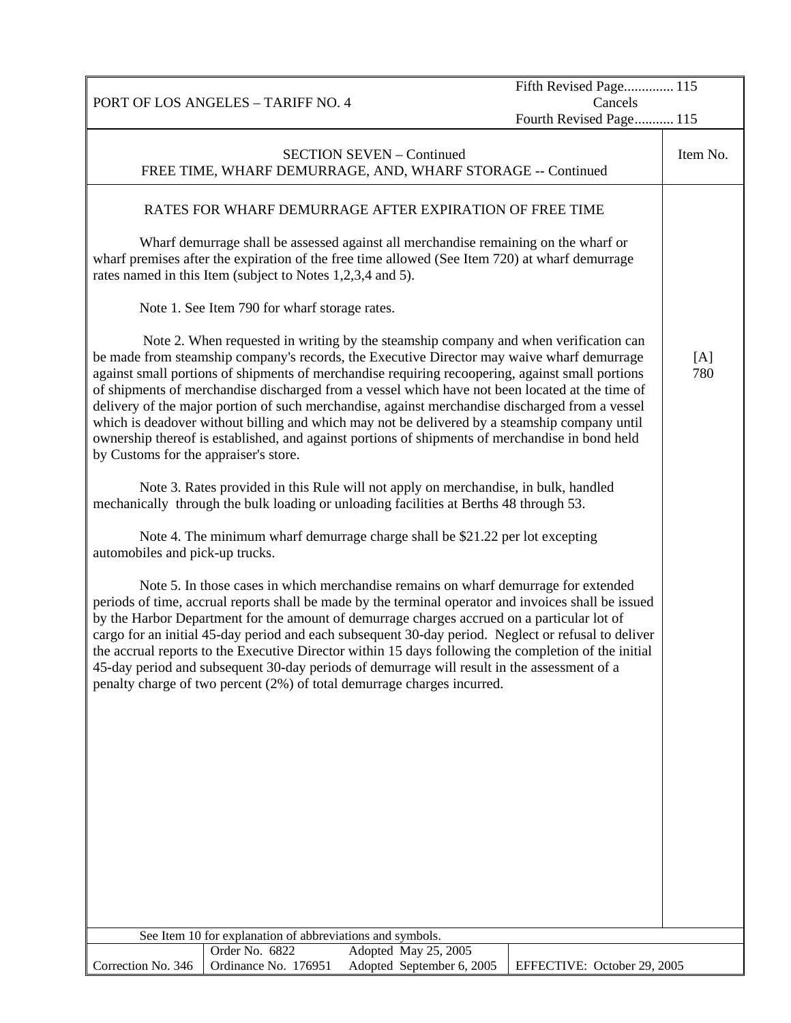|                                       |                                                            |                                                                                                                                                                                                                                                                                                                                                                                                                                                                                                                                                                                                                                                                                                  | Fifth Revised Page 115             |            |
|---------------------------------------|------------------------------------------------------------|--------------------------------------------------------------------------------------------------------------------------------------------------------------------------------------------------------------------------------------------------------------------------------------------------------------------------------------------------------------------------------------------------------------------------------------------------------------------------------------------------------------------------------------------------------------------------------------------------------------------------------------------------------------------------------------------------|------------------------------------|------------|
|                                       | PORT OF LOS ANGELES - TARIFF NO. 4                         |                                                                                                                                                                                                                                                                                                                                                                                                                                                                                                                                                                                                                                                                                                  | Cancels<br>Fourth Revised Page 115 |            |
|                                       |                                                            |                                                                                                                                                                                                                                                                                                                                                                                                                                                                                                                                                                                                                                                                                                  |                                    |            |
|                                       |                                                            | <b>SECTION SEVEN - Continued</b><br>FREE TIME, WHARF DEMURRAGE, AND, WHARF STORAGE -- Continued                                                                                                                                                                                                                                                                                                                                                                                                                                                                                                                                                                                                  |                                    | Item No.   |
|                                       |                                                            | RATES FOR WHARF DEMURRAGE AFTER EXPIRATION OF FREE TIME                                                                                                                                                                                                                                                                                                                                                                                                                                                                                                                                                                                                                                          |                                    |            |
|                                       | rates named in this Item (subject to Notes 1,2,3,4 and 5). | Wharf demurrage shall be assessed against all merchandise remaining on the wharf or<br>wharf premises after the expiration of the free time allowed (See Item 720) at wharf demurrage                                                                                                                                                                                                                                                                                                                                                                                                                                                                                                            |                                    |            |
|                                       | Note 1. See Item 790 for wharf storage rates.              |                                                                                                                                                                                                                                                                                                                                                                                                                                                                                                                                                                                                                                                                                                  |                                    |            |
| by Customs for the appraiser's store. |                                                            | Note 2. When requested in writing by the steamship company and when verification can<br>be made from steamship company's records, the Executive Director may waive wharf demurrage<br>against small portions of shipments of merchandise requiring recoopering, against small portions<br>of shipments of merchandise discharged from a vessel which have not been located at the time of<br>delivery of the major portion of such merchandise, against merchandise discharged from a vessel<br>which is deadover without billing and which may not be delivered by a steamship company until<br>ownership thereof is established, and against portions of shipments of merchandise in bond held |                                    | [A]<br>780 |
|                                       |                                                            | Note 3. Rates provided in this Rule will not apply on merchandise, in bulk, handled<br>mechanically through the bulk loading or unloading facilities at Berths 48 through 53.                                                                                                                                                                                                                                                                                                                                                                                                                                                                                                                    |                                    |            |
| automobiles and pick-up trucks.       |                                                            | Note 4. The minimum wharf demurrage charge shall be \$21.22 per lot excepting                                                                                                                                                                                                                                                                                                                                                                                                                                                                                                                                                                                                                    |                                    |            |
|                                       |                                                            | Note 5. In those cases in which merchandise remains on wharf demurrage for extended<br>periods of time, accrual reports shall be made by the terminal operator and invoices shall be issued<br>by the Harbor Department for the amount of demurrage charges accrued on a particular lot of<br>cargo for an initial 45-day period and each subsequent 30-day period. Neglect or refusal to deliver<br>the accrual reports to the Executive Director within 15 days following the completion of the initial<br>45-day period and subsequent 30-day periods of demurrage will result in the assessment of a<br>penalty charge of two percent (2%) of total demurrage charges incurred.              |                                    |            |
|                                       |                                                            |                                                                                                                                                                                                                                                                                                                                                                                                                                                                                                                                                                                                                                                                                                  |                                    |            |
|                                       |                                                            |                                                                                                                                                                                                                                                                                                                                                                                                                                                                                                                                                                                                                                                                                                  |                                    |            |
|                                       |                                                            |                                                                                                                                                                                                                                                                                                                                                                                                                                                                                                                                                                                                                                                                                                  |                                    |            |
|                                       |                                                            |                                                                                                                                                                                                                                                                                                                                                                                                                                                                                                                                                                                                                                                                                                  |                                    |            |
|                                       |                                                            |                                                                                                                                                                                                                                                                                                                                                                                                                                                                                                                                                                                                                                                                                                  |                                    |            |
|                                       |                                                            |                                                                                                                                                                                                                                                                                                                                                                                                                                                                                                                                                                                                                                                                                                  |                                    |            |
|                                       | See Item 10 for explanation of abbreviations and symbols.  |                                                                                                                                                                                                                                                                                                                                                                                                                                                                                                                                                                                                                                                                                                  |                                    |            |
| Correction No. 346                    | Order No. 6822<br>Ordinance No. 176951                     | Adopted May 25, 2005<br>Adopted September 6, 2005                                                                                                                                                                                                                                                                                                                                                                                                                                                                                                                                                                                                                                                | EFFECTIVE: October 29, 2005        |            |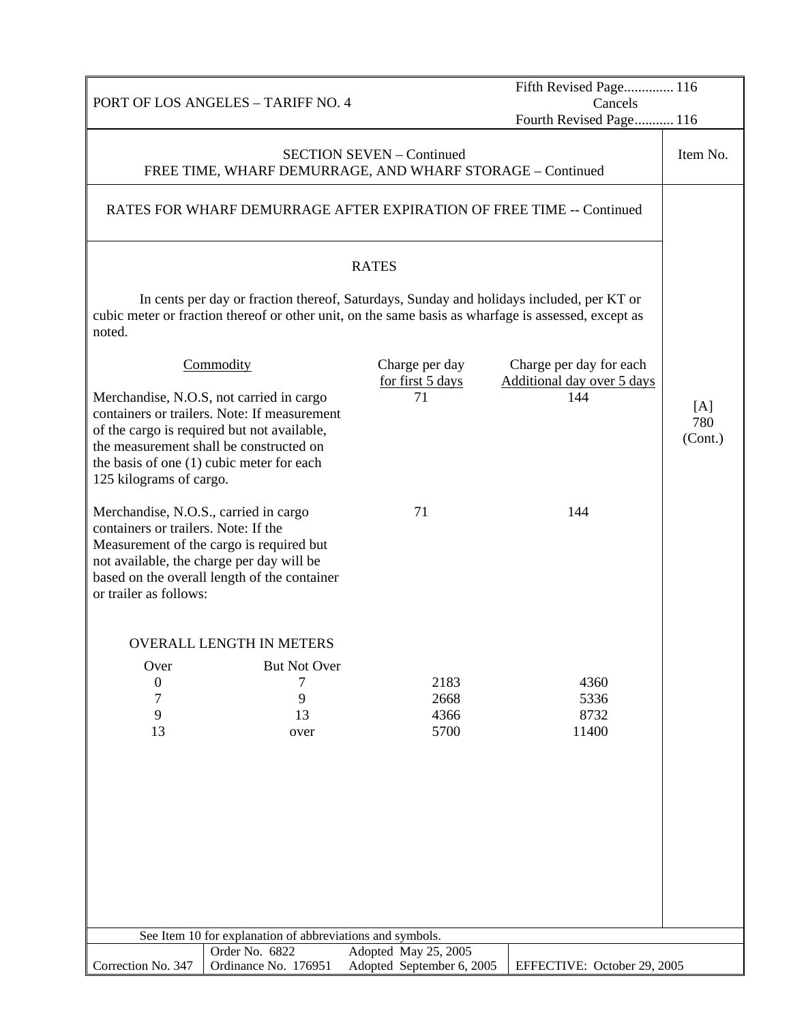| PORT OF LOS ANGELES - TARIFF NO. 4                                                                                                                                                                                                                         |                                                           |                                                   | Fifth Revised Page 116<br>Cancels                                                                                                                                                               |                       |
|------------------------------------------------------------------------------------------------------------------------------------------------------------------------------------------------------------------------------------------------------------|-----------------------------------------------------------|---------------------------------------------------|-------------------------------------------------------------------------------------------------------------------------------------------------------------------------------------------------|-----------------------|
|                                                                                                                                                                                                                                                            |                                                           |                                                   | Fourth Revised Page 116                                                                                                                                                                         |                       |
|                                                                                                                                                                                                                                                            | FREE TIME, WHARF DEMURRAGE, AND WHARF STORAGE - Continued | <b>SECTION SEVEN - Continued</b>                  |                                                                                                                                                                                                 | Item No.              |
| RATES FOR WHARF DEMURRAGE AFTER EXPIRATION OF FREE TIME -- Continued                                                                                                                                                                                       |                                                           |                                                   |                                                                                                                                                                                                 |                       |
|                                                                                                                                                                                                                                                            |                                                           | <b>RATES</b>                                      |                                                                                                                                                                                                 |                       |
| noted.                                                                                                                                                                                                                                                     |                                                           |                                                   | In cents per day or fraction thereof, Saturdays, Sunday and holidays included, per KT or<br>cubic meter or fraction thereof or other unit, on the same basis as wharfage is assessed, except as |                       |
| Commodity                                                                                                                                                                                                                                                  |                                                           | Charge per day<br>for first 5 days                | Charge per day for each<br>Additional day over 5 days                                                                                                                                           |                       |
| Merchandise, N.O.S, not carried in cargo<br>containers or trailers. Note: If measurement<br>of the cargo is required but not available,<br>the measurement shall be constructed on<br>the basis of one (1) cubic meter for each<br>125 kilograms of cargo. |                                                           | 71                                                | 144                                                                                                                                                                                             | [A]<br>780<br>(Cont.) |
| Merchandise, N.O.S., carried in cargo<br>containers or trailers. Note: If the<br>Measurement of the cargo is required but<br>not available, the charge per day will be<br>based on the overall length of the container<br>or trailer as follows:           |                                                           | 71                                                | 144                                                                                                                                                                                             |                       |
|                                                                                                                                                                                                                                                            | <b>OVERALL LENGTH IN METERS</b>                           |                                                   |                                                                                                                                                                                                 |                       |
| Over<br>$\boldsymbol{0}$<br>7<br>9<br>13                                                                                                                                                                                                                   | <b>But Not Over</b><br>7<br>9<br>13<br>over               | 2183<br>2668<br>4366<br>5700                      | 4360<br>5336<br>8732<br>11400                                                                                                                                                                   |                       |
|                                                                                                                                                                                                                                                            |                                                           |                                                   |                                                                                                                                                                                                 |                       |
|                                                                                                                                                                                                                                                            | See Item 10 for explanation of abbreviations and symbols. |                                                   |                                                                                                                                                                                                 |                       |
| Correction No. 347                                                                                                                                                                                                                                         | Order No. 6822<br>Ordinance No. 176951                    | Adopted May 25, 2005<br>Adopted September 6, 2005 | EFFECTIVE: October 29, 2005                                                                                                                                                                     |                       |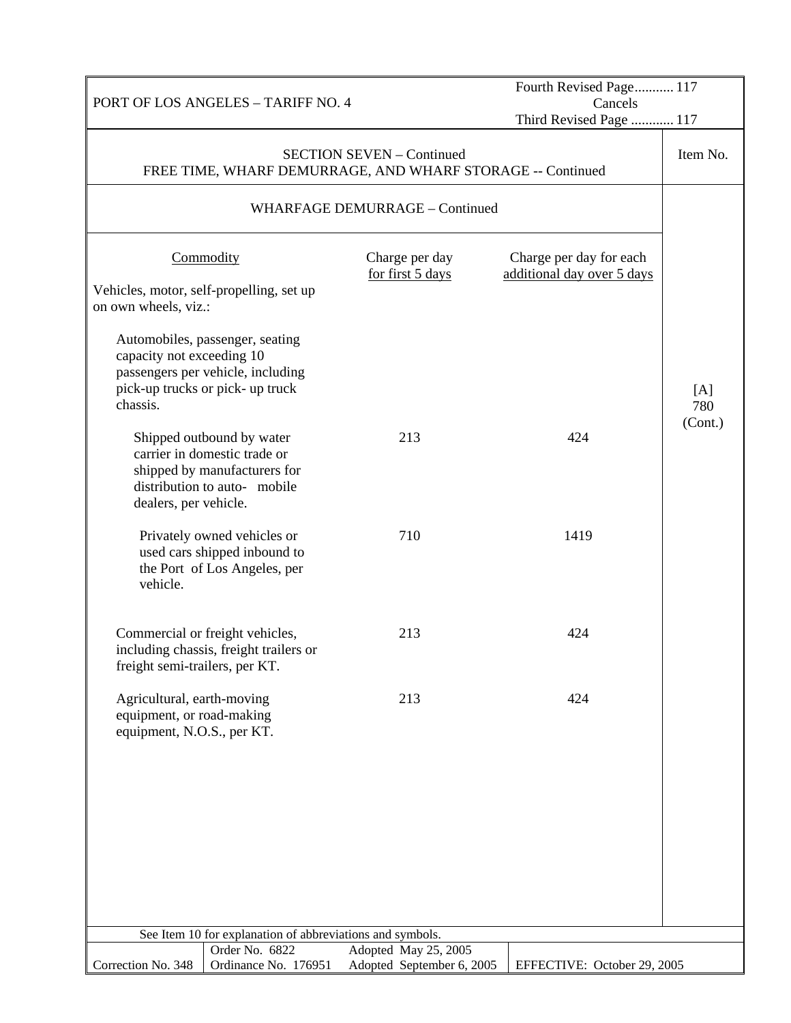| PORT OF LOS ANGELES - TARIFF NO. 4                                                                                                                                       |  |                                                                                                | Fourth Revised Page 117<br>Cancels                    |                       |
|--------------------------------------------------------------------------------------------------------------------------------------------------------------------------|--|------------------------------------------------------------------------------------------------|-------------------------------------------------------|-----------------------|
|                                                                                                                                                                          |  | Third Revised Page  117                                                                        |                                                       |                       |
|                                                                                                                                                                          |  | <b>SECTION SEVEN - Continued</b><br>FREE TIME, WHARF DEMURRAGE, AND WHARF STORAGE -- Continued |                                                       | Item No.              |
|                                                                                                                                                                          |  | WHARFAGE DEMURRAGE - Continued                                                                 |                                                       |                       |
| Commodity<br>Vehicles, motor, self-propelling, set up                                                                                                                    |  | Charge per day<br>for first 5 days                                                             | Charge per day for each<br>additional day over 5 days |                       |
| on own wheels, viz.:<br>Automobiles, passenger, seating<br>capacity not exceeding 10<br>passengers per vehicle, including<br>pick-up trucks or pick-up truck<br>chassis. |  |                                                                                                |                                                       | [A]<br>780<br>(Cont.) |
| Shipped outbound by water<br>carrier in domestic trade or<br>shipped by manufacturers for<br>distribution to auto- mobile<br>dealers, per vehicle.                       |  | 213                                                                                            | 424                                                   |                       |
| Privately owned vehicles or<br>used cars shipped inbound to<br>the Port of Los Angeles, per<br>vehicle.                                                                  |  | 710                                                                                            | 1419                                                  |                       |
| Commercial or freight vehicles,<br>including chassis, freight trailers or<br>freight semi-trailers, per KT.                                                              |  | 213                                                                                            | 424                                                   |                       |
| Agricultural, earth-moving<br>equipment, or road-making<br>equipment, N.O.S., per KT.                                                                                    |  | 213                                                                                            | 424                                                   |                       |
|                                                                                                                                                                          |  |                                                                                                |                                                       |                       |
| See Item 10 for explanation of abbreviations and symbols.                                                                                                                |  |                                                                                                |                                                       |                       |
| Order No. 6822<br>Ordinance No. 176951<br>Correction No. 348                                                                                                             |  | Adopted May 25, 2005<br>Adopted September 6, 2005                                              | EFFECTIVE: October 29, 2005                           |                       |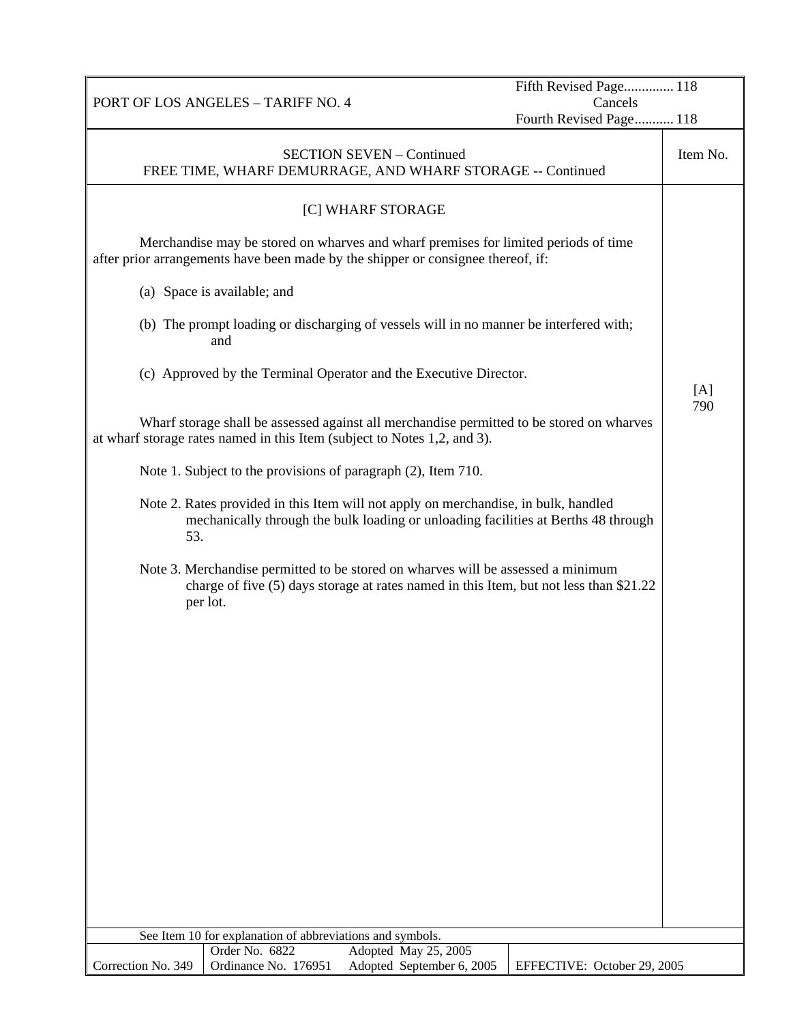|                                                                                                                                                                                        | Fifth Revised Page 118      |          |
|----------------------------------------------------------------------------------------------------------------------------------------------------------------------------------------|-----------------------------|----------|
| PORT OF LOS ANGELES - TARIFF NO. 4                                                                                                                                                     | Cancels                     |          |
|                                                                                                                                                                                        | Fourth Revised Page 118     |          |
| <b>SECTION SEVEN - Continued</b><br>FREE TIME, WHARF DEMURRAGE, AND WHARF STORAGE -- Continued                                                                                         |                             | Item No. |
| [C] WHARF STORAGE                                                                                                                                                                      |                             |          |
| Merchandise may be stored on wharves and wharf premises for limited periods of time<br>after prior arrangements have been made by the shipper or consignee thereof, if:                |                             |          |
| (a) Space is available; and                                                                                                                                                            |                             |          |
| (b) The prompt loading or discharging of vessels will in no manner be interfered with;<br>and                                                                                          |                             |          |
| (c) Approved by the Terminal Operator and the Executive Director.                                                                                                                      |                             | [A]      |
| Wharf storage shall be assessed against all merchandise permitted to be stored on wharves<br>at wharf storage rates named in this Item (subject to Notes 1,2, and 3).                  |                             | 790      |
| Note 1. Subject to the provisions of paragraph (2), Item 710.                                                                                                                          |                             |          |
| Note 2. Rates provided in this Item will not apply on merchandise, in bulk, handled<br>mechanically through the bulk loading or unloading facilities at Berths 48 through<br>53.       |                             |          |
| Note 3. Merchandise permitted to be stored on wharves will be assessed a minimum<br>charge of five (5) days storage at rates named in this Item, but not less than \$21.22<br>per lot. |                             |          |
|                                                                                                                                                                                        |                             |          |
|                                                                                                                                                                                        |                             |          |
|                                                                                                                                                                                        |                             |          |
|                                                                                                                                                                                        |                             |          |
|                                                                                                                                                                                        |                             |          |
|                                                                                                                                                                                        |                             |          |
|                                                                                                                                                                                        |                             |          |
|                                                                                                                                                                                        |                             |          |
|                                                                                                                                                                                        |                             |          |
| See Item 10 for explanation of abbreviations and symbols.<br>Order No. 6822<br>Adopted May 25, 2005                                                                                    |                             |          |
| Correction No. 349<br>Ordinance No. 176951<br>Adopted September 6, 2005                                                                                                                | EFFECTIVE: October 29, 2005 |          |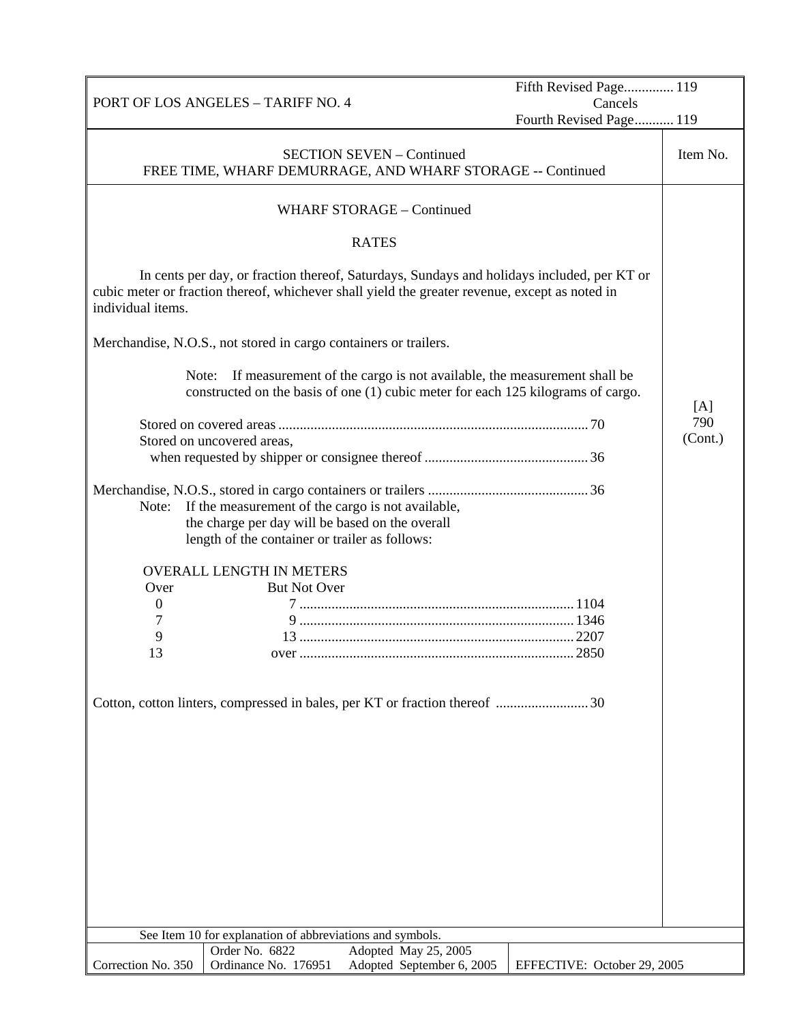|                                    |                                                                                                                                                        |                                                                                                                                                                                              | Fifth Revised Page 119      |          |
|------------------------------------|--------------------------------------------------------------------------------------------------------------------------------------------------------|----------------------------------------------------------------------------------------------------------------------------------------------------------------------------------------------|-----------------------------|----------|
| PORT OF LOS ANGELES - TARIFF NO. 4 |                                                                                                                                                        | Cancels                                                                                                                                                                                      |                             |          |
|                                    |                                                                                                                                                        |                                                                                                                                                                                              | Fourth Revised Page 119     |          |
|                                    |                                                                                                                                                        | <b>SECTION SEVEN - Continued</b><br>FREE TIME, WHARF DEMURRAGE, AND WHARF STORAGE -- Continued                                                                                               |                             | Item No. |
|                                    |                                                                                                                                                        | <b>WHARF STORAGE - Continued</b>                                                                                                                                                             |                             |          |
|                                    |                                                                                                                                                        | <b>RATES</b>                                                                                                                                                                                 |                             |          |
| individual items.                  |                                                                                                                                                        | In cents per day, or fraction thereof, Saturdays, Sundays and holidays included, per KT or<br>cubic meter or fraction thereof, whichever shall yield the greater revenue, except as noted in |                             |          |
|                                    | Merchandise, N.O.S., not stored in cargo containers or trailers.                                                                                       |                                                                                                                                                                                              |                             |          |
| Note:                              |                                                                                                                                                        | If measurement of the cargo is not available, the measurement shall be                                                                                                                       |                             |          |
|                                    |                                                                                                                                                        | constructed on the basis of one (1) cubic meter for each 125 kilograms of cargo.                                                                                                             |                             |          |
|                                    |                                                                                                                                                        |                                                                                                                                                                                              |                             | [A]      |
|                                    |                                                                                                                                                        |                                                                                                                                                                                              |                             | 790      |
|                                    | Stored on uncovered areas,                                                                                                                             |                                                                                                                                                                                              |                             | (Cont.)  |
|                                    |                                                                                                                                                        |                                                                                                                                                                                              |                             |          |
| Note:                              | If the measurement of the cargo is not available,<br>the charge per day will be based on the overall<br>length of the container or trailer as follows: |                                                                                                                                                                                              |                             |          |
|                                    | <b>OVERALL LENGTH IN METERS</b>                                                                                                                        |                                                                                                                                                                                              |                             |          |
| Over                               | <b>But Not Over</b>                                                                                                                                    |                                                                                                                                                                                              |                             |          |
| $\overline{0}$                     |                                                                                                                                                        |                                                                                                                                                                                              |                             |          |
|                                    |                                                                                                                                                        |                                                                                                                                                                                              |                             |          |
| 9                                  |                                                                                                                                                        |                                                                                                                                                                                              |                             |          |
| 13                                 |                                                                                                                                                        |                                                                                                                                                                                              |                             |          |
|                                    |                                                                                                                                                        |                                                                                                                                                                                              |                             |          |
|                                    | See Item 10 for explanation of abbreviations and symbols.                                                                                              |                                                                                                                                                                                              |                             |          |
|                                    | Order No. 6822                                                                                                                                         | Adopted May 25, 2005                                                                                                                                                                         |                             |          |
| Correction No. 350                 | Ordinance No. 176951                                                                                                                                   | Adopted September 6, 2005                                                                                                                                                                    | EFFECTIVE: October 29, 2005 |          |